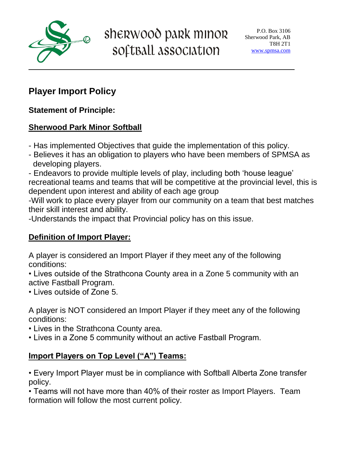

sherwood park minor softBall association

## **Player Import Policy**

**Statement of Principle:**

#### **Sherwood Park Minor Softball**

- Has implemented Objectives that guide the implementation of this policy.
- Believes it has an obligation to players who have been members of SPMSA as developing players.

- Endeavors to provide multiple levels of play, including both 'house league' recreational teams and teams that will be competitive at the provincial level, this is dependent upon interest and ability of each age group

-Will work to place every player from our community on a team that best matches their skill interest and ability.

-Understands the impact that Provincial policy has on this issue.

#### **Definition of Import Player:**

A player is considered an Import Player if they meet any of the following conditions:

• Lives outside of the Strathcona County area in a Zone 5 community with an active Fastball Program.

• Lives outside of Zone 5.

A player is NOT considered an Import Player if they meet any of the following conditions:

- Lives in the Strathcona County area.
- Lives in a Zone 5 community without an active Fastball Program.

### **Import Players on Top Level ("A") Teams:**

• Every Import Player must be in compliance with Softball Alberta Zone transfer policy.

• Teams will not have more than 40% of their roster as Import Players. Team formation will follow the most current policy.